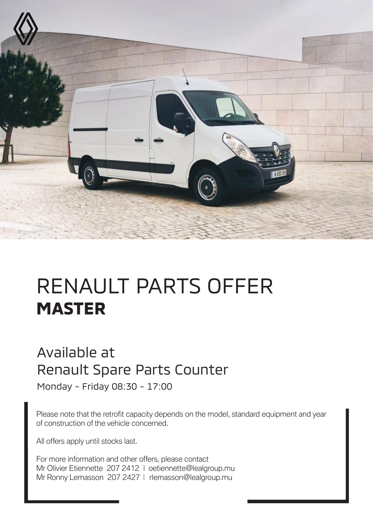

## RENAULT PARTS OFFER **MASTER**

## Available at Renault Spare Parts Counter

Monday - Friday 08:30 - 17:00

Please note that the retrofit capacity depends on the model, standard equipment and year of construction of the vehicle concerned.

All offers apply until stocks last.

For more information and other offers, please contact Mr Olivier Etiennette 207 2412 | oetiennette@lealgroup.mu Mr Ronny Lemasson 207 2427 | rlemasson@lealgroup.mu